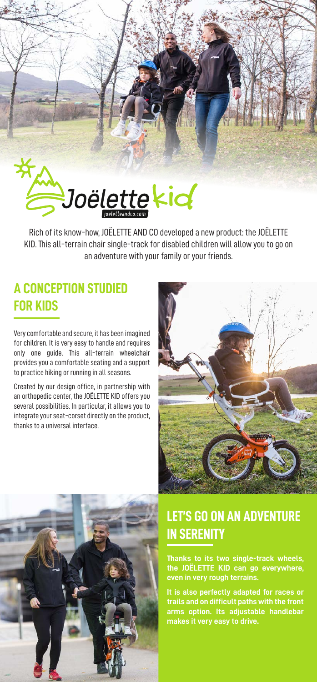

KID. This all-terrain chair single-track for disabled children will allow you to go on an adventure with your family or your friends.

## **A CONCEPTION STUDIED FOR KIDS**

Very comfortable and secure, it has been imagined for children. It is very easy to handle and requires only one guide. This all-terrain wheelchair provides you a comfortable seating and a support to practice hiking or running in all seasons.

Created by our design office, in partnership with an orthopedic center, the JOËLETTE KID offers you several possibilities. In particular, it allows you to integrate your seat-corset directly on the product, thanks to a universal interface.





## **LET'S GO ON AN ADVENTURE IN SERENITY**

**Thanks to its two single-track wheels, the JOËLETTE KID can go everywhere, even in very rough terrains.** 

**It is also perfectly adapted for races or trails and on difficult paths with the front arms option. Its adjustable handlebar makes it very easy to drive.**